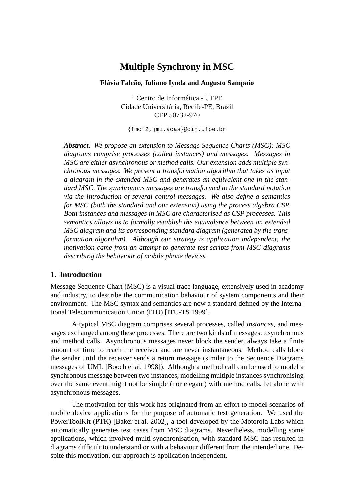# **Multiple Synchrony in MSC**

#### **Flávia Falcão, Juliano Ivoda and Augusto Sampaio**

 $<sup>1</sup>$  Centro de Informática - UFPE</sup> Cidade Universitária, Recife-PE, Brazil CEP 50732-970

{fmcf2,jmi,acas}@cin.ufpe.br

*Abstract. We propose an extension to Message Sequence Charts (MSC); MSC diagrams comprise processes (called instances) and messages. Messages in MSC are either asynchronous or method calls. Our extension adds multiple synchronous messages. We present a transformation algorithm that takes as input a diagram in the extended MSC and generates an equivalent one in the standard MSC. The synchronous messages are transformed to the standard notation via the introduction of several control messages. We also define a semantics for MSC (both the standard and our extension) using the process algebra CSP. Both instances and messages in MSC are characterised as CSP processes. This semantics allows us to formally establish the equivalence between an extended MSC diagram and its corresponding standard diagram (generated by the transformation algorithm). Although our strategy is application independent, the motivation came from an attempt to generate test scripts from MSC diagrams describing the behaviour of mobile phone devices.*

## **1. Introduction**

Message Sequence Chart (MSC) is a visual trace language, extensively used in academy and industry, to describe the communication behaviour of system components and their environment. The MSC syntax and semantics are now a standard defined by the International Telecommunication Union (ITU) [ITU-TS 1999].

A typical MSC diagram comprises several processes, called *instances*, and messages exchanged among these processes. There are two kinds of messages: asynchronous and method calls. Asynchronous messages never block the sender, always take a finite amount of time to reach the receiver and are never instantaneous. Method calls block the sender until the receiver sends a return message (similar to the Sequence Diagrams messages of UML [Booch et al. 1998]). Although a method call can be used to model a synchronous message between two instances, modelling multiple instances synchronising over the same event might not be simple (nor elegant) with method calls, let alone with asynchronous messages.

The motivation for this work has originated from an effort to model scenarios of mobile device applications for the purpose of automatic test generation. We used the PowerToolKit (PTK) [Baker et al. 2002], a tool developed by the Motorola Labs which automatically generates test cases from MSC diagrams. Nevertheless, modelling some applications, which involved multi-synchronisation, with standard MSC has resulted in diagrams difficult to understand or with a behaviour different from the intended one. Despite this motivation, our approach is application independent.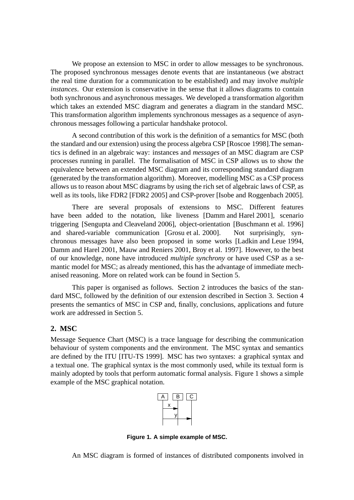We propose an extension to MSC in order to allow messages to be synchronous. The proposed synchronous messages denote events that are instantaneous (we abstract the real time duration for a communication to be established) and may involve *multiple instances*. Our extension is conservative in the sense that it allows diagrams to contain both synchronous and asynchronous messages. We developed a transformation algorithm which takes an extended MSC diagram and generates a diagram in the standard MSC. This transformation algorithm implements synchronous messages as a sequence of asynchronous messages following a particular handshake protocol.

A second contribution of this work is the definition of a semantics for MSC (both the standard and our extension) using the process algebra CSP [Roscoe 1998].The semantics is defined in an algebraic way: instances and *messages* of an MSC diagram are CSP processes running in parallel. The formalisation of MSC in CSP allows us to show the equivalence between an extended MSC diagram and its corresponding standard diagram (generated by the transformation algorithm). Moreover, modelling MSC as a CSP process allows us to reason about MSC diagrams by using the rich set of algebraic laws of CSP, as well as its tools, like FDR2 [FDR2 2005] and CSP-prover [Isobe and Roggenbach 2005].

There are several proposals of extensions to MSC. Different features have been added to the notation, like liveness [Damm and Harel 2001], scenario triggering [Sengupta and Cleaveland 2006], object-orientation [Buschmann et al. 1996] and shared-variable communication [Grosu et al. 2000]. Not surprisingly, synchronous messages have also been proposed in some works [Ladkin and Leue 1994, Damm and Harel 2001, Mauw and Reniers 2001, Broy et al. 1997]. However, to the best of our knowledge, none have introduced *multiple synchrony* or have used CSP as a semantic model for MSC; as already mentioned, this has the advantage of immediate mechanised reasoning. More on related work can be found in Section 5.

This paper is organised as follows. Section 2 introduces the basics of the standard MSC, followed by the definition of our extension described in Section 3. Section 4 presents the semantics of MSC in CSP and, finally, conclusions, applications and future work are addressed in Section 5.

## **2. MSC**

Message Sequence Chart (MSC) is a trace language for describing the communication behaviour of system components and the environment. The MSC syntax and semantics are defined by the ITU [ITU-TS 1999]. MSC has two syntaxes: a graphical syntax and a textual one. The graphical syntax is the most commonly used, while its textual form is mainly adopted by tools that perform automatic formal analysis. Figure 1 shows a simple example of the MSC graphical notation.



**Figure 1. A simple example of MSC.**

An MSC diagram is formed of instances of distributed components involved in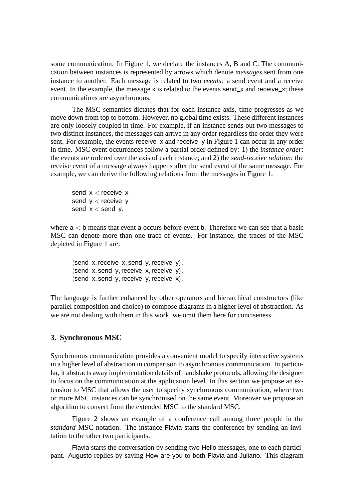some communication. In Figure 1, we declare the instances A, B and C. The communication between instances is represented by arrows which denote *messages* sent from one instance to another. Each message is related to two *events*: a send event and a receive event. In the example, the message  $x$  is related to the events send  $x$  and receive  $x$ ; these communications are asynchronous.

The MSC semantics dictates that for each instance axis, time progresses as we move down from top to bottom. However, no global time exists. These different instances are only loosely coupled in time. For example, if an instance sends out two messages to two distinct instances, the messages can arrive in any order regardless the order they were sent. For example, the events receive x and receive v in Figure 1 can occur in any order in time. MSC event occurrences follow a partial order defined by: 1) the *instance order*: the events are ordered over the axis of each instance; and 2) the *send-receive relation*: the receive event of a message always happens after the send event of the same message. For example, we can derive the following relations from the messages in Figure 1:

send  $x <$  receive  $x$  $send_y <$  receive\_y  $send_x < send_y$ ,

where  $a < b$  means that event a occurs before event b. Therefore we can see that a basic MSC can denote more than one trace of events. For instance, the traces of the MSC depicted in Figure 1 are:

 $\langle send_x, receive_x, send_y, receive_y \rangle$ ,  $\langle$ send x, send y, receive x, receive  $\langle y \rangle$ ,  $\langle send_x, send_y, receive_y, receive_x \rangle$ .

The language is further enhanced by other operators and hierarchical constructors (like parallel composition and choice) to compose diagrams in a higher level of abstraction. As we are not dealing with them in this work, we omit them here for conciseness.

## **3. Synchronous MSC**

Synchronous communication provides a convenient model to specify interactive systems in a higher level of abstraction in comparison to asynchronous communication. In particular, it abstracts away implementation details of handshake protocols, allowing the designer to focus on the communication at the application level. In this section we propose an extension to MSC that allows the user to specify synchronous communication, where two or more MSC instances can be synchronised on the same event. Moreover we propose an algorithm to convert from the extended MSC to the standard MSC.

Figure 2 shows an example of a conference call among three people in the *standard* MSC notation. The instance Flavia starts the conference by sending an invitation to the other two participants.

Flavia starts the conversation by sending two Hello messages, one to each participant. Augusto replies by saying How are you to both Flavia and Juliano. This diagram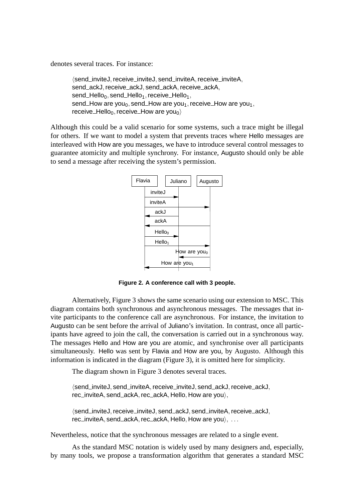denotes several traces. For instance:

(send\_inviteJ, receive\_inviteJ, send\_inviteA, receive\_inviteA, send\_ackJ, receive\_ackJ, send\_ackA, receive\_ackA,  $send$ -Hello<sub>0</sub>, send Hello<sub>1</sub>, receive Hello<sub>1</sub>, send How are you $_0$ , send How are you<sub>1</sub>, receive How are you<sub>1</sub>, receive Hello<sub>0</sub>, receive How are you<sub>0</sub>)

Although this could be a valid scenario for some systems, such a trace might be illegal for others. If we want to model a system that prevents traces where Hello messages are interleaved with How are you messages, we have to introduce several control messages to guarantee atomicity and multiple synchrony. For instance, Augusto should only be able to send a message after receiving the system's permission.



**Figure 2. A conference call with 3 people.**

Alternatively, Figure 3 shows the same scenario using our extension to MSC. This diagram contains both synchronous and asynchronous messages. The messages that invite participants to the conference call are asynchronous. For instance, the invitation to Augusto can be sent before the arrival of Juliano's invitation. In contrast, once all participants have agreed to join the call, the conversation is carried out in a synchronous way. The messages Hello and How are you are atomic, and synchronise over all participants simultaneously. Hello was sent by Flavia and How are you, by Augusto. Although this information is indicated in the diagram (Figure 3), it is omitted here for simplicity.

The diagram shown in Figure 3 denotes several traces.

(send\_inviteJ, send\_inviteA, receive\_inviteJ, send\_ackJ, receive\_ackJ, rec\_inviteA, send\_ackA, rec\_ackA, Hello, How are you),

(send\_inviteJ, receive\_inviteJ, send\_ackJ, send\_inviteA, receive\_ackJ, rec\_inviteA, send\_ackA, rec\_ackA, Hello, How are you), ...

Nevertheless, notice that the synchronous messages are related to a single event.

As the standard MSC notation is widely used by many designers and, especially, by many tools, we propose a transformation algorithm that generates a standard MSC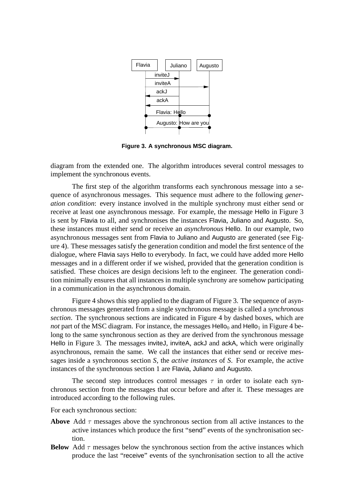

**Figure 3. A synchronous MSC diagram.**

diagram from the extended one. The algorithm introduces several control messages to implement the synchronous events.

The first step of the algorithm transforms each synchronous message into a sequence of asynchronous messages. This sequence must adhere to the following *generation condition*: every instance involved in the multiple synchrony must either send or receive at least one asynchronous message. For example, the message Hello in Figure 3 is sent by Flavia to all, and synchronises the instances Flavia, Juliano and Augusto. So, these instances must either send or receive an *asynchronous* Hello. In our example, two asynchronous messages sent from Flavia to Juliano and Augusto are generated (see Figure 4). These messages satisfy the generation condition and model the first sentence of the dialogue, where Flavia says Hello to everybody. In fact, we could have added more Hello messages and in a different order if we wished, provided that the generation condition is satisfied. These choices are design decisions left to the engineer. The generation condition minimally ensures that all instances in multiple synchrony are somehow participating in a communication in the asynchronous domain.

Figure 4 shows this step applied to the diagram of Figure 3. The sequence of asynchronous messages generated from a single synchronous message is called a *synchronous section*. The synchronous sections are indicated in Figure 4 by dashed boxes, which are *not* part of the MSC diagram. For instance, the messages Hello<sub>0</sub> and Hello<sub>1</sub> in Figure 4 belong to the same synchronous section as they are derived from the synchronous message Hello in Figure 3. The messages inviteJ, inviteA, ackJ and ackA, which were originally asynchronous, remain the same. We call the instances that either send or receive messages inside a synchronous section *S*, the *active instances* of *S*. For example, the active instances of the synchronous section 1 are Flavia, Juliano and Augusto.

The second step introduces control messages  $\tau$  in order to isolate each synchronous section from the messages that occur before and after it. These messages are introduced according to the following rules.

For each synchronous section:

- **Above** Add  $\tau$  messages above the synchronous section from all active instances to the active instances which produce the first "send" events of the synchronisation section.
- **Below** Add  $\tau$  messages below the synchronous section from the active instances which produce the last "receive" events of the synchronisation section to all the active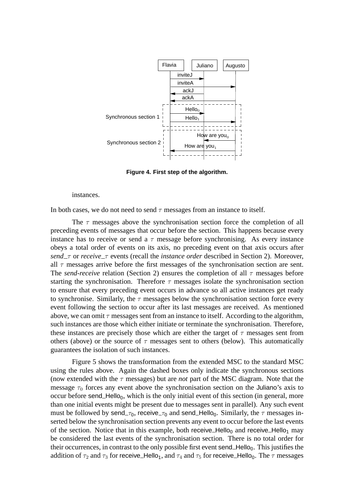

**Figure 4. First step of the algorithm.**

instances.

In both cases, we do not need to send  $\tau$  messages from an instance to itself.

The  $\tau$  messages above the synchronisation section force the completion of all preceding events of messages that occur before the section. This happens because every instance has to receive or send a  $\tau$  message before synchronising. As every instance obeys a total order of events on its axis, no preceding event on that axis occurs after *send\_τ* or *receive\_τ* events (recall the *instance order* described in Section 2). Moreover, all  $\tau$  messages arrive before the first messages of the synchronisation section are sent. The *send-receive* relation (Section 2) ensures the completion of all  $\tau$  messages before starting the synchronisation. Therefore  $\tau$  messages isolate the synchronisation section to ensure that every preceding event occurs in advance so all active instances get ready to synchronise. Similarly, the  $\tau$  messages below the synchronisation section force every event following the section to occur after its last messages are received. As mentioned above, we can omit  $\tau$  messages sent from an instance to itself. According to the algorithm, such instances are those which either initiate or terminate the synchronisation. Therefore, these instances are precisely those which are either the target of  $\tau$  messages sent from others (above) or the source of  $\tau$  messages sent to others (below). This automatically guarantees the isolation of such instances.

Figure 5 shows the transformation from the extended MSC to the standard MSC using the rules above. Again the dashed boxes only indicate the synchronous sections (now extended with the  $\tau$  messages) but are *not* part of the MSC diagram. Note that the message  $\tau_0$  forces any event above the synchronisation section on the Juliano's axis to occur before send  $H$ ello<sub>0</sub>, which is the only initial event of this section (in general, more than one initial events might be present due to messages sent in parallel). Any such event must be followed by send  $\tau_0$ , receive  $\tau_0$  and send Hello<sub>0</sub>. Similarly, the  $\tau$  messages inserted below the synchronisation section prevents any event to occur before the last events of the section. Notice that in this example, both receive Hello<sub>0</sub> and receive Hello<sub>1</sub> may be considered the last events of the synchronisation section. There is no total order for their occurrences, in contrast to the only possible first event send  $H$ ello<sub>0</sub>. This justifies the addition of  $\tau_2$  and  $\tau_3$  for receive Hello<sub>1</sub>, and  $\tau_4$  and  $\tau_5$  for receive Hello<sub>0</sub>. The  $\tau$  messages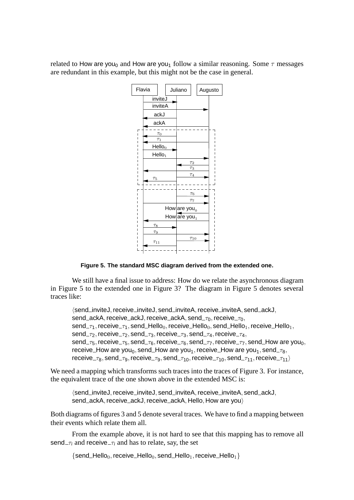related to How are you<sub>0</sub> and How are you<sub>1</sub> follow a similar reasoning. Some  $\tau$  messages are redundant in this example, but this might not be the case in general.



**Figure 5. The standard MSC diagram derived from the extended one.**

We still have a final issue to address: How do we relate the asynchronous diagram in Figure 5 to the extended one in Figure 3? The diagram in Figure 5 denotes several traces like:

(send\_inviteJ, receive\_inviteJ, send\_inviteA, receive\_inviteA, send\_ackJ, send ackA, receive ackJ, receive ackA, send  $\tau_0$ , receive  $\tau_0$ , send  $\tau_1$ , receive  $\tau_1$ , send Hello<sub>0</sub>, receive Hello<sub>0</sub>, send Hello<sub>1</sub>, receive Hello<sub>1</sub>, send  $\tau_2$ , receive  $\tau_2$ , send  $\tau_3$ , receive  $\tau_3$ , send  $\tau_4$ , receive  $\tau_4$ , send  $\tau_5$ , receive  $\tau_5$ , send  $\tau_6$ , receive  $\tau_6$ , send  $\tau_7$ , receive  $\tau_7$ , send How are you, receive How are you<sub>0</sub>, send How are you<sub>1</sub>, receive How are you<sub>1</sub>, send  $\tau_8$ , receive  $\tau_8$ , send  $\tau_9$ , receive  $\tau_9$ , send  $\tau_{10}$ , receive  $\tau_{10}$ , send  $\tau_{11}$ , receive  $\tau_{11}$ 

We need a mapping which transforms such traces into the traces of Figure 3. For instance, the equivalent trace of the one shown above in the extended MSC is:

(send\_inviteJ, receive\_inviteJ, send\_inviteA, receive\_inviteA, send\_ackJ, send\_ackA, receive\_ackJ, receive\_ackA, Hello, How are you)

Both diagrams of figures 3 and 5 denote several traces. We have to find a mapping between their events which relate them all.

From the example above, it is not hard to see that this mapping has to remove all send  $\tau_i$  and receive  $\tau_i$  and has to relate, say, the set

 $\{send\_Hello_0, receive\_Hello_0, send\_Hello_1, receive\_Hello_1\}$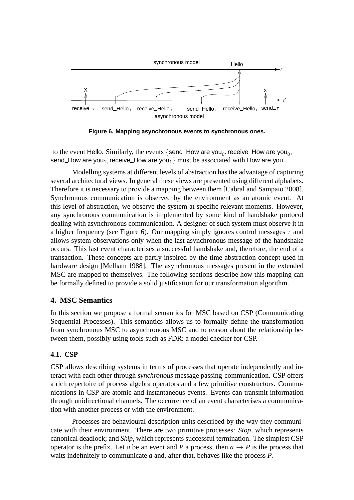

**Figure 6. Mapping asynchronous events to synchronous ones.**

to the event Hello. Similarly, the events {send\_How are you<sub>0</sub>, receive\_How are you<sub>0</sub>, send How are you<sub>1</sub>, receive How are you<sub>1</sub> must be associated with How are you.

Modelling systems at different levels of abstraction has the advantage of capturing several architectural views. In general these views are presented using different alphabets. Therefore it is necessary to provide a mapping between them [Cabral and Sampaio 2008]. Synchronous communication is observed by the environment as an atomic event. At this level of abstraction, we observe the system at specific relevant moments. However, any synchronous communication is implemented by some kind of handshake protocol dealing with asynchronous communication. A designer of such system must observe it in a higher frequency (see Figure 6). Our mapping simply ignores control messages  $\tau$  and allows system observations only when the last asynchronous message of the handshake occurs. This last event characterises a successful handshake and, therefore, the end of a transaction. These concepts are partly inspired by the time abstraction concept used in hardware design [Melham 1988]. The asynchronous messages present in the extended MSC are mapped to themselves. The following sections describe how this mapping can be formally defined to provide a solid justification for our transformation algorithm.

## **4. MSC Semantics**

In this section we propose a formal semantics for MSC based on CSP (Communicating Sequential Processes). This semantics allows us to formally define the transformation from synchronous MSC to asynchronous MSC and to reason about the relationship between them, possibly using tools such as FDR: a model checker for CSP.

## **4.1. CSP**

CSP allows describing systems in terms of processes that operate independently and interact with each other through *synchronous* message passing-communication. CSP offers a rich repertoire of process algebra operators and a few primitive constructors. Communications in CSP are atomic and instantaneous events. Events can transmit information through unidirectional channels. The occurrence of an event characterises a communication with another process or with the environment.

Processes are behavioural description units described by the way they communicate with their environment. There are two primitive processes: *Stop*, which represents canonical deadlock; and *Skip*, which represents successful termination. The simplest CSP operator is the prefix. Let *a* be an event and *P* a process, then  $a \rightarrow P$  is the process that waits indefinitely to communicate *a* and, after that, behaves like the process *P*.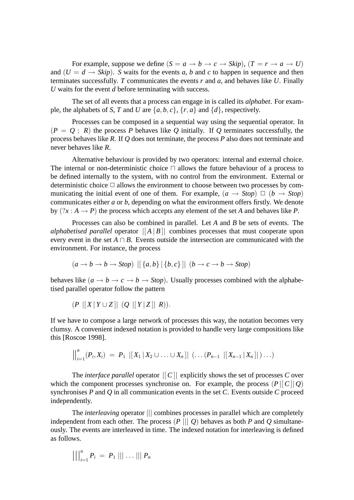For example, suppose we define  $(S = a \rightarrow b \rightarrow c \rightarrow Skip)$ ,  $(T = r \rightarrow a \rightarrow U)$ and  $(U = d \rightarrow Skip)$ . *S* waits for the events *a*, *b* and *c* to happen in sequence and then terminates successfully. *T* communicates the events *r* and *a*, and behaves like *U*. Finally *U* waits for the event *d* before terminating with success.

The set of all events that a process can engage in is called its *alphabet*. For example, the alphabets of *S*, *T* and *U* are  $\{a, b, c\}$ ,  $\{r, a\}$  and  $\{d\}$ , respectively.

Processes can be composed in a sequential way using the sequential operator. In  $(P = Q; R)$  the process *P* behaves like *Q* initially. If *Q* terminates successfully, the process behaves like *R*. If *Q* does not terminate, the process *P* also does not terminate and never behaves like *R*.

Alternative behaviour is provided by two operators: internal and external choice. The internal or non-deterministic choice ⊓ allows the future behaviour of a process to be defined internally to the system, with no control from the environment. External or deterministic choice  $\Box$  allows the environment to choose between two processes by communicating the initial event of one of them. For example,  $(a \rightarrow Stop) \square (b \rightarrow Stop)$ communicates either *a* or *b*, depending on what the environment offers firstly. We denote by  $(?x : A \rightarrow P)$  the process which accepts any element of the set *A* and behaves like *P*.

Processes can also be combined in parallel. Let *A* and *B* be sets of events. The *alphabetised parallel* operator  $\left| \left[ A \, | \, B \right] \right|$  combines processes that must cooperate upon every event in the set  $A \cap B$ . Events outside the intersection are communicated with the environment. For instance, the process

$$
(a \rightarrow b \rightarrow b \rightarrow Stop) \mid [\{a, b\} \mid \{b, c\}] \mid (b \rightarrow c \rightarrow b \rightarrow Stop)
$$

behaves like  $(a \rightarrow b \rightarrow c \rightarrow b \rightarrow Stop)$ . Usually processes combined with the alphabetised parallel operator follow the pattern

$$
(P | [X | Y \cup Z] | (Q | [Y | Z] | R)).
$$

If we have to compose a large network of processes this way, the notation becomes very clumsy. A convenient indexed notation is provided to handle very large compositions like this [Roscoe 1998].

$$
\left\| \right\|_{i=1}^{n} (P_{i}, X_{i}) = P_{1} \left\| \left[ X_{1} \, | \, X_{2} \cup \ldots \cup X_{n} \right] \right\| \, \left( \ldots \left( P_{n-1} \, \left\| \left[ X_{n-1} \, | \, X_{n} \right] \right| \right) \ldots \right)
$$

The *interface parallel* operator  $||C||$  explicitly shows the set of processes C over which the component processes synchronise on. For example, the process  $(P||C||Q)$ synchronises *P* and *Q* in all communication events in the set *C*. Events outside *C* proceed independently.

The *interleaving* operator ||| combines processes in parallel which are completely independent from each other. The process  $(P \parallel \parallel Q)$  behaves as both *P* and *Q* simultaneously. The events are interleaved in time. The indexed notation for interleaving is defined as follows.

$$
\left|\left|\right|_{i=1}^n P_i = P_1 \right|\left|\left|\right| \dots \left|\right| \right| P_n
$$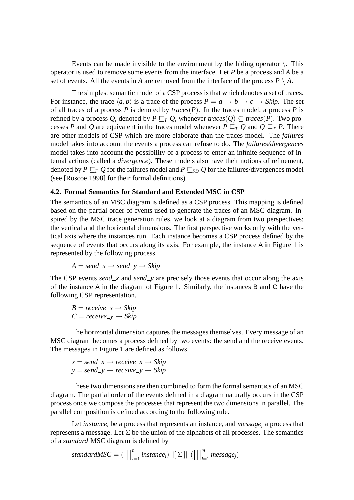Events can be made invisible to the environment by the hiding operator  $\setminus$ . This operator is used to remove some events from the interface. Let *P* be a process and *A* be a set of events. All the events in *A* are removed from the interface of the process  $P \setminus A$ .

The simplest semantic model of a CSP process is that which denotes a set of traces. For instance, the trace  $\langle a, b \rangle$  is a trace of the process  $P = a \rightarrow b \rightarrow c \rightarrow Skip$ . The set of all traces of a process  $P$  is denoted by  $traces(P)$ . In the traces model, a process  $P$  is refined by a process Q, denoted by  $P \sqsubseteq_T Q$ , whenever  $traces(Q) \subseteq traces(P)$ . Two processes *P* and *Q* are equivalent in the traces model whenever  $P \sqsubset_T Q$  and  $Q \sqsubset_T P$ . There are other models of CSP which are more elaborate than the traces model. The *failures* model takes into account the events a process can refuse to do. The *failures/divergences* model takes into account the possibility of a process to enter an infinite sequence of internal actions (called a *divergence*). These models also have their notions of refinement, denoted by *P*  $\subseteq$ *F Q* for the failures model and *P*  $\subseteq$ *FD Q* for the failures/divergences model (see [Roscoe 1998] for their formal definitions).

#### **4.2. Formal Semantics for Standard and Extended MSC in CSP**

The semantics of an MSC diagram is defined as a CSP process. This mapping is defined based on the partial order of events used to generate the traces of an MSC diagram. Inspired by the MSC trace generation rules, we look at a diagram from two perspectives: the vertical and the horizontal dimensions. The first perspective works only with the vertical axis where the instances run. Each instance becomes a CSP process defined by the sequence of events that occurs along its axis. For example, the instance A in Figure 1 is represented by the following process.

 $A = send \, x \rightarrow send \, y \rightarrow Skip$ 

The CSP events *send*  $\angle x$  and *send*  $\angle y$  are precisely those events that occur along the axis of the instance A in the diagram of Figure 1. Similarly, the instances B and C have the following CSP representation.

$$
B = receive\_x \rightarrow Skip
$$
  

$$
C = receive\_y \rightarrow Skip
$$

The horizontal dimension captures the messages themselves. Every message of an MSC diagram becomes a process defined by two events: the send and the receive events. The messages in Figure 1 are defined as follows.

$$
x = send\_x \rightarrow receive\_x \rightarrow Skip
$$
  

$$
y = send\_y \rightarrow receive\_y \rightarrow Skip
$$

These two dimensions are then combined to form the formal semantics of an MSC diagram. The partial order of the events defined in a diagram naturally occurs in the CSP process once we compose the processes that represent the two dimensions in parallel. The parallel composition is defined according to the following rule.

Let *instance*<sup>*i*</sup> be a process that represents an instance, and *message*<sup>*i*</sup> a process that represents a message. Let  $\Sigma$  be the union of the alphabets of all processes. The semantics of a *standard* MSC diagram is defined by

$$
standardMSC = (\left| \left| \right|_{i=1}^{n} instance_i \right) \left| \left[ \Sigma \right] \right| (\left| \left| \right|_{j=1}^{m} message_j \right)
$$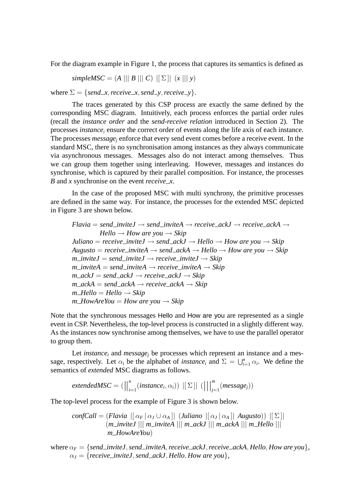For the diagram example in Figure 1, the process that captures its semantics is defined as

*simpleMSC* = (*A* ||| *B* ||| *C*)  $|[\Sigma]|$  (*x* ||| *y*)

where  $\Sigma = \{send\_x, receive\_x, send\_y, receive\_y\}.$ 

The traces generated by this CSP process are exactly the same defined by the corresponding MSC diagram. Intuitively, each process enforces the partial order rules (recall the *instance order* and the *send-receive relation* introduced in Section 2). The processes *instance<sup>i</sup>* ensure the correct order of events along the life axis of each instance. The processes *message*<sup>*j*</sup> enforce that every send event comes before a receive event. In the standard MSC, there is no synchronisation among instances as they always communicate via asynchronous messages. Messages also do not interact among themselves. Thus we can group them together using interleaving. However, messages and instances do synchronise, which is captured by their parallel composition. For instance, the processes *B* and *x* synchronise on the event *receive x*.

In the case of the proposed MSC with multi synchrony, the primitive processes are defined in the same way. For instance, the processes for the extended MSC depicted in Figure 3 are shown below.

 $Flavia = send\_inviteJ \rightarrow send\_inviteA \rightarrow receive\_ackJ \rightarrow receive\_ackA \rightarrow$ *Hello*  $\rightarrow$  *How are you*  $\rightarrow$  *Skip*  $Juliano = receive\_inviteJ \rightarrow send\_ackJ \rightarrow Hello \rightarrow How are you \rightarrow Skip$  $Augusto = receive\_inviteA \rightarrow send\_ackA \rightarrow Hello \rightarrow How are you \rightarrow Skip$  $m\_inviteJ = send\_inviteJ \rightarrow receive\_inviteJ \rightarrow Skip$  $m\_inviteA = send\_inviteA \rightarrow receive\_inviteA \rightarrow Skip$  $m\_{ack}$ *ackJ* = *send\_ackJ*  $\rightarrow$  *receive\_ackJ*  $\rightarrow$  *Skip*  $m\_\text{ack}A = \text{send}\_\text{ack}A \rightarrow \text{receive}\_\text{ack}A \rightarrow \text{Skip}$  $m_H$ *Hello* = *Hello*  $\rightarrow$  *Skip*  $m_HowAreYou = How are you \rightarrow Skip$ 

Note that the synchronous messages Hello and How are you are represented as a single event in CSP. Nevertheless, the top-level process is constructed in a slightly different way. As the instances now synchronise among themselves, we have to use the parallel operator to group them.

Let *instance*<sup>*i*</sup> and *message*<sup>*j*</sup> be processes which represent an instance and a message, respectively. Let  $\alpha_i$  be the alphabet of *instance*<sub>*i*</sub> and  $\Sigma = \bigcup_{i=1}^n \alpha_i$ . We define the semantics of *extended* MSC diagrams as follows.

$$
extendedMSC = (\Big|\Big|_{i=1}^n (instance_i, \alpha_i)) \ \left|\Big[\sum\Big|\Big|\ \Big|\Big|_{j=1}^m (message_j)\right)
$$

The top-level process for the example of Figure 3 is shown below.

$$
confCall = (Flavia || [\alpha_F | \alpha_J \cup \alpha_A || (Juliano || [\alpha_I | \alpha_A || Augusto)) || \Sigma ||
$$
  
\n
$$
(m\_inviteJ || | m\_inviteA || | m\_ackJ || | m\_ackA || | m\_Hello || |
$$
  
\n
$$
m\_HowAreYou)
$$

where  $\alpha_F = \{send\_inviteJ, send\_inviteA, receive\_ackJ, receive\_ackA, Hello, How are you\},\$  $\alpha_J = \{receive\_inviteJ, send\_ackJ, Hello, How are you\},\$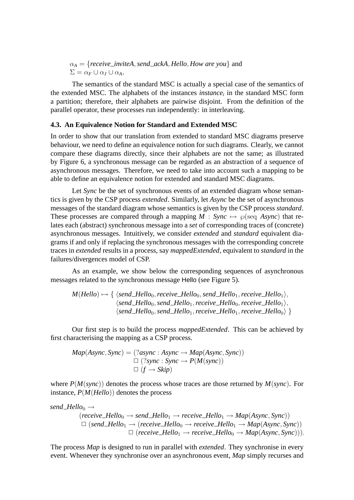$\alpha_A = \{receive\_inviteA, send\_ackA, Hello, How are you\}$  and  $\Sigma = \alpha_F \cup \alpha_I \cup \alpha_A$ .

The semantics of the standard MSC is actually a special case of the semantics of the extended MSC. The alphabets of the instances *instance<sup>i</sup>* in the standard MSC form a partition; therefore, their alphabets are pairwise disjoint. From the definition of the parallel operator, these processes run independently: in interleaving.

#### **4.3. An Equivalence Notion for Standard and Extended MSC**

In order to show that our translation from extended to standard MSC diagrams preserve behaviour, we need to define an equivalence notion for such diagrams. Clearly, we cannot compare these diagrams directly, since their alphabets are not the same; as illustrated by Figure 6, a synchronous message can be regarded as an abstraction of a sequence of asynchronous messages. Therefore, we need to take into account such a mapping to be able to define an equivalence notion for extended and standard MSC diagrams.

Let *Sync* be the set of synchronous events of an extended diagram whose semantics is given by the CSP process *extended*. Similarly, let *Async* be the set of asynchronous messages of the standard diagram whose semantics is given by the CSP process *standard*. These processes are compared through a mapping  $M : S\gamma n c \mapsto \wp(\text{seq} \; As\gamma n c)$  that relates each (abstract) synchronous message into a *set* of corresponding traces of (concrete) asynchronous messages. Intuitively, we consider *extended* and *standard* equivalent diagrams if and only if replacing the synchronous messages with the corresponding concrete traces in *extended* results in a process, say *mappedExtended*, equivalent to *standard* in the failures/divergences model of CSP.

As an example, we show below the corresponding sequences of asynchronous messages related to the synchronous message Hello (see Figure 5).

$$
M(Hello) \mapsto \{ \langle send\_Hello_0, receive\_Hello_0, send\_Hello_1, receive\_Hello_1 \rangle, \\ \langle send\_Hello_0, send\_Hello_1, receive\_Hello_0, receive\_Hello_0 \rangle, \\ \langle send\_Hello_0, send\_Hello_1, receive\_Hello_1, receive\_Hello_0 \rangle \}
$$

Our first step is to build the process *mappedExtended*. This can be achieved by first characterising the mapping as a CSP process.

Map(Async, Sync) = 
$$
(?async : Async \rightarrow Map(Async, Spnc))
$$
  
\n $\square$   $(?sync : Sync \rightarrow P(M(sync))$   
\n $\square$   $(f \rightarrow Skip)$ 

where *P*(*M*(*sync*)) denotes the process whose traces are those returned by *M*(*sync*). For instance, *P*(*M*(*Hello*)) denotes the process

$$
send\_Hello_0 \rightarrow (receive\_Hello_0 \rightarrow send\_Hello_1 \rightarrow receive\_Hello_1 \rightarrow Map(Async, Sync))
$$
  
\n
$$
\Box (send\_Hello_1 \rightarrow (receive\_Hello_0 \rightarrow receive\_Hello_1 \rightarrow Map(Async, Sync))
$$
  
\n
$$
\Box (receive\_Hello_1 \rightarrow receive\_Hello_0 \rightarrow Map(Async, Sync))).
$$

The process *Map* is designed to run in parallel with *extended*. They synchronise in every event. Whenever they synchronise over an asynchronous event, *Map* simply recurses and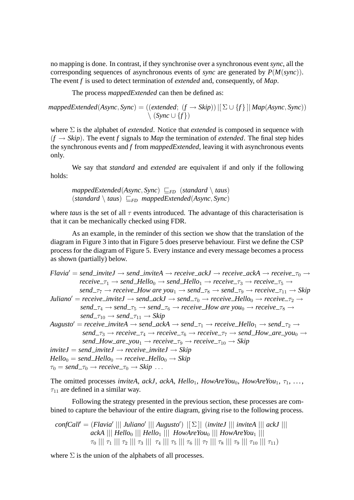no mapping is done. In contrast, if they synchronise over a synchronous event *sync*, all the corresponding sequences of asynchronous events of *sync* are generated by *P*(*M*(*sync*)). The event *f* is used to detect termination of *extended* and, consequently, of *Map*.

The process *mappedExtended* can then be defined as:

*mappedExtended*(*Async*, *Sync*) = ((*extended*;  $(f \rightarrow Skip)$ ) |[ $\Sigma \cup \{f\}$ ]| *Map*(*Async*, *Sync*)) \ (*Sync* ∪ {*f* })

where Σ is the alphabet of *extended*. Notice that *extended* is composed in sequence with  $(f \rightarrow Skip)$ . The event f signals to *Map* the termination of *extended*. The final step hides the synchronous events and *f* from *mappedExtended*, leaving it with asynchronous events only.

We say that *standard* and *extended* are equivalent if and only if the following holds:

*mappedExtended*(*Async*, *Sync*) ⊑*FD* (*standard* \ *taus*) (*standard* \ *taus*) ⊑*FD mappedExtended*(*Async*, *Sync*)

where *taus* is the set of all  $\tau$  events introduced. The advantage of this characterisation is that it can be mechanically checked using FDR.

As an example, in the reminder of this section we show that the translation of the diagram in Figure 3 into that in Figure 5 does preserve behaviour. First we define the CSP process for the diagram of Figure 5. Every instance and every message becomes a process as shown (partially) below.

```
Flavia' = send_inviteJ \rightarrow send_inviteA \rightarrow receive_ackJ \rightarrow receive_ackA \rightarrow receive_\tau_0 \rightarrowreceive -\tau_1 \rightarrow send \text{Hello}_0 \rightarrow \text{send}\_Hello<sub>1</sub> \rightarrow receive -\tau_3 \rightarrow receive -\tau_5 \rightarrowsend_{-77} \rightarrow receive\_How are you_1 \rightarrow send_{-78} \rightarrow send_{-79} \rightarrow receive_{-711} \rightarrow SkipJuliano' = receive\_inviteJ \rightarrow send\_ackJ \rightarrow send\_7_0 \rightarrow receive\_Hello_0 \rightarrow receive_7_2 \rightarrow\text{send}\_\tau_4 \rightarrow \text{send}\_\tau_5 \rightarrow \text{send}\_\tau_6 \rightarrow \text{receive}\_\text{flow} are \text{you}_0 \rightarrow \text{receive}\_\tau_8 \rightarrowsend_{-T_{10}} \rightarrow send_{-T_{11}} \rightarrow SkipAugusto' = receive\_inviteA \rightarrow send\_ackA \rightarrow send\_T_1 \rightarrow receive\_Hello_1 \rightarrow send\_T_2 \rightarrowsend\_ \tau_3 \rightarrow receive\_ \tau_4 \rightarrow receive\_ \tau_6 \rightarrow receive\_ \tau_7 \rightarrow send\_How\_ are\_you_0 \rightarrowsend\_How\_are\_you_1 \rightarrow receive\_ \tau_9 \rightarrow receive\_ \tau_{10} \rightarrow SkipinviteJ = send\_inviteJ \rightarrow receive\_inviteJ \rightarrow SkipHello_0 = send\_Hello_0 \rightarrow receive\_Hello_0 \rightarrow Skip\tau_0 = \text{send}\_\tau_0 \rightarrow \text{receive}\_\tau_0 \rightarrow \text{Skip} \dots
```
The omitted processes *inviteA*, *ackJ*, *ackA*, *Hello*<sub>1</sub>, *HowAreYou*<sub>0</sub>, *HowAreYou*<sub>1</sub>,  $\tau_1$ , ...,  $\tau_{11}$  are defined in a similar way.

Following the strategy presented in the previous section, these processes are combined to capture the behaviour of the entire diagram, giving rise to the following process.

$$
confCall' = (Flavia' ||| Juliano' ||| Augusto') |[Σ] | (inviteJ ||| inviteA ||| ackJ |||
$$
  
\n
$$
ackA ||| Hello_0 ||| Hello_1 ||| HowAreYou_0 ||| HowAreYou_1 |||
$$
  
\n
$$
\tau_0 ||| \tau_1 ||| \tau_2 ||| \tau_3 ||| \tau_4 ||| \tau_5 ||| \tau_6 ||| \tau_7 ||| \tau_8 ||| \tau_9 ||| \tau_{10} ||| \tau_{11})
$$

where  $\Sigma$  is the union of the alphabets of all processes.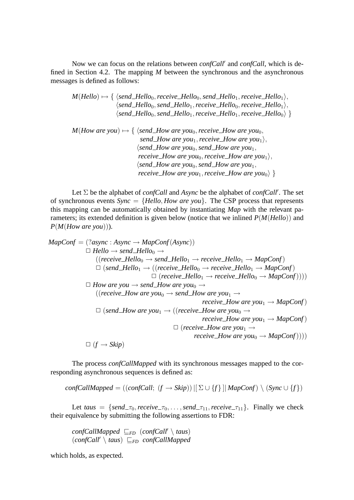Now we can focus on the relations between *confCall*′ and *confCall*, which is defined in Section 4.2. The mapping *M* between the synchronous and the asynchronous messages is defined as follows:

 $M(Hello) \rightarrow \{ \ \langle send\_Hello_0, receive\_Hello_0, send\_Hello_1, receive\_Hello_1 \rangle,$  $\langle send_Hello_0, send_Hello_1, receive_Hello_0, received_L),\rangle$  $\{send\_Hello_0, send\_Hello_1, receive\_Hello_1, receive\_Hello_0 \}$ 

$$
M(How are you) \mapsto \{ \langle send\_How are you_0, receive\_How are you_0, send\_How are you_1, receive\_How are you_1 \rangle, \langle send\_How are you_0, send\_How are you_1, receive\_How are you_0, receive\_How are you_1 \rangle, \langle send\_How are you_0, send\_How are you_1, receive\_How are you_1, receive\_How are you_0 \rangle \}
$$

Let Σ be the alphabet of *confCall* and *Async* be the alphabet of *confCall*′ . The set of synchronous events  $Sync = {Hello, How are you}$ . The CSP process that represents this mapping can be automatically obtained by instantiating *Map* with the relevant parameters; its extended definition is given below (notice that we inlined *P*(*M*(*Hello*)) and  $P(M(How \ are \ you)).$ 

$$
MapConf = (?async : Async \rightarrow MapConf(Async))
$$
  
\n□ Hello → send\_Hello<sub>0</sub> →  
\n((receive\_Hello<sub>0</sub> → send\_Hello<sub>1</sub> → receive\_Hello<sub>1</sub> → MapConf)  
\n□ (send\_Hello<sub>1</sub> → ((receive\_Hello<sub>0</sub> → receive\_Hello<sub>1</sub> → MapConf)  
\n□ (receive\_Hello<sub>1</sub> → receive\_Hello<sub>0</sub> → MapConf))))  
\n□ How are you → send\_How are you<sub>0</sub> →  
\n((receive\_How are you<sub>1</sub> → receive\_How are you<sub>1</sub> →  
\nreceive\_How are you<sub>1</sub> →   
\nreceive\_How are you<sub>1</sub> → MapConf)  
\n□ (send\_How are you<sub>1</sub> → ((receive\_How are you<sub>0</sub> →  
\nreceive\_How are you<sub>1</sub> → MapConf)  
\n□ (receive\_How are you<sub>1</sub> →  
\nreceive\_How are you<sub>0</sub> → MapConf))))  
\n□ (f → Skip)

The process *confCallMapped* with its synchronous messages mapped to the corresponding asynchronous sequences is defined as:

$$
confCallMapped = ((confCall; (f \rightarrow Skip)) | [\Sigma \cup \{f\}] | MapConf) \setminus (Sync \cup \{f\})
$$

Let *taus* = { $send_{T_0}$ *, receive* $\tau_0$ , ..., *send* $\tau_{11}$ *, receive* $\tau_{11}$ }. Finally we check their equivalence by submitting the following assertions to FDR:

*confCallMapped* ⊑*FD* (*confCall*′ \ *taus*) (*confCall*′ \ *taus*) ⊑*FD confCallMapped*

which holds, as expected.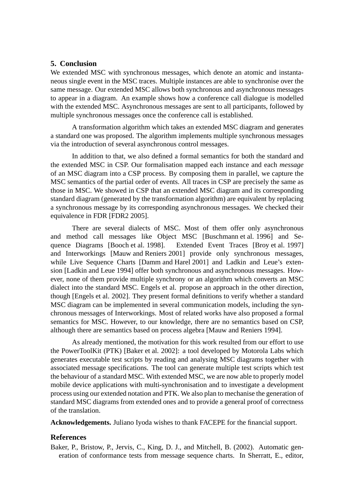## **5. Conclusion**

We extended MSC with synchronous messages, which denote an atomic and instantaneous single event in the MSC traces. Multiple instances are able to synchronise over the same message. Our extended MSC allows both synchronous and asynchronous messages to appear in a diagram. An example shows how a conference call dialogue is modelled with the extended MSC. Asynchronous messages are sent to all participants, followed by multiple synchronous messages once the conference call is established.

A transformation algorithm which takes an extended MSC diagram and generates a standard one was proposed. The algorithm implements multiple synchronous messages via the introduction of several asynchronous control messages.

In addition to that, we also defined a formal semantics for both the standard and the extended MSC in CSP. Our formalisation mapped each instance and each *message* of an MSC diagram into a CSP process. By composing them in parallel, we capture the MSC semantics of the partial order of events. All traces in CSP are precisely the same as those in MSC. We showed in CSP that an extended MSC diagram and its corresponding standard diagram (generated by the transformation algorithm) are equivalent by replacing a synchronous message by its corresponding asynchronous messages. We checked their equivalence in FDR [FDR2 2005].

There are several dialects of MSC. Most of them offer only asynchronous and method call messages like Object MSC [Buschmann et al. 1996] and Sequence Diagrams [Booch et al. 1998]. Extended Event Traces [Broy et al. 1997] and Interworkings [Mauw and Reniers 2001] provide only synchronous messages, while Live Sequence Charts [Damm and Harel 2001] and Ladkin and Leue's extension [Ladkin and Leue 1994] offer both synchronous and asynchronous messages. However, none of them provide multiple synchrony or an algorithm which converts an MSC dialect into the standard MSC. Engels et al. propose an approach in the other direction, though [Engels et al. 2002]. They present formal definitions to verify whether a standard MSC diagram can be implemented in several communication models, including the synchronous messages of Interworkings. Most of related works have also proposed a formal semantics for MSC. However, to our knowledge, there are no semantics based on CSP, although there are semantics based on process algebra [Mauw and Reniers 1994].

As already mentioned, the motivation for this work resulted from our effort to use the PowerToolKit (PTK) [Baker et al. 2002]: a tool developed by Motorola Labs which generates executable test scripts by reading and analysing MSC diagrams together with associated message specifications. The tool can generate multiple test scripts which test the behaviour of a standard MSC. With extended MSC, we are now able to properly model mobile device applications with multi-synchronisation and to investigate a development process using our extended notation and PTK. We also plan to mechanise the generation of standard MSC diagrams from extended ones and to provide a general proof of correctness of the translation.

**Acknowledgements.** Juliano Iyoda wishes to thank FACEPE for the financial support.

#### **References**

Baker, P., Bristow, P., Jervis, C., King, D. J., and Mitchell, B. (2002). Automatic generation of conformance tests from message sequence charts. In Sherratt, E., editor,